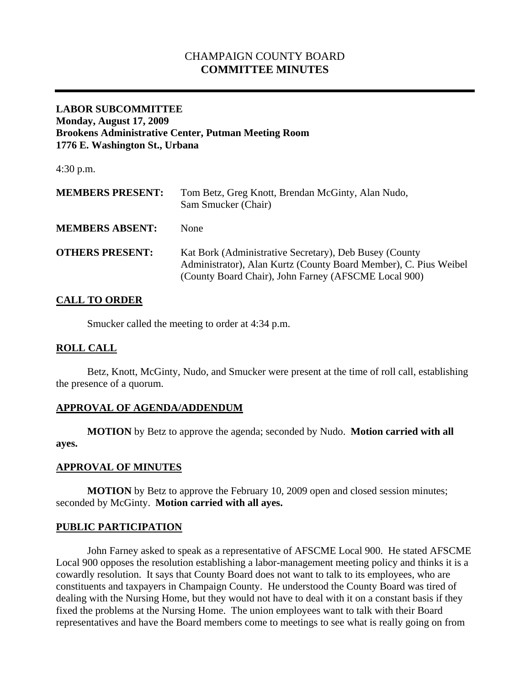# CHAMPAIGN COUNTY BOARD **COMMITTEE MINUTES**

### **LABOR SUBCOMMITTEE Monday, August 17, 2009 Brookens Administrative Center, Putman Meeting Room 1776 E. Washington St., Urbana**

4:30 p.m.

| <b>MEMBERS PRESENT:</b> | Tom Betz, Greg Knott, Brendan McGinty, Alan Nudo,<br>Sam Smucker (Chair)                                                                                                           |
|-------------------------|------------------------------------------------------------------------------------------------------------------------------------------------------------------------------------|
| <b>MEMBERS ABSENT:</b>  | <b>None</b>                                                                                                                                                                        |
| <b>OTHERS PRESENT:</b>  | Kat Bork (Administrative Secretary), Deb Busey (County<br>Administrator), Alan Kurtz (County Board Member), C. Pius Weibel<br>(County Board Chair), John Farney (AFSCME Local 900) |

# **CALL TO ORDER**

Smucker called the meeting to order at 4:34 p.m.

## **ROLL CALL**

 Betz, Knott, McGinty, Nudo, and Smucker were present at the time of roll call, establishing the presence of a quorum.

## **APPROVAL OF AGENDA/ADDENDUM**

 **MOTION** by Betz to approve the agenda; seconded by Nudo. **Motion carried with all ayes.** 

### **APPROVAL OF MINUTES**

**MOTION** by Betz to approve the February 10, 2009 open and closed session minutes; seconded by McGinty. **Motion carried with all ayes.** 

### **PUBLIC PARTICIPATION**

John Farney asked to speak as a representative of AFSCME Local 900. He stated AFSCME Local 900 opposes the resolution establishing a labor-management meeting policy and thinks it is a cowardly resolution. It says that County Board does not want to talk to its employees, who are constituents and taxpayers in Champaign County. He understood the County Board was tired of dealing with the Nursing Home, but they would not have to deal with it on a constant basis if they fixed the problems at the Nursing Home. The union employees want to talk with their Board representatives and have the Board members come to meetings to see what is really going on from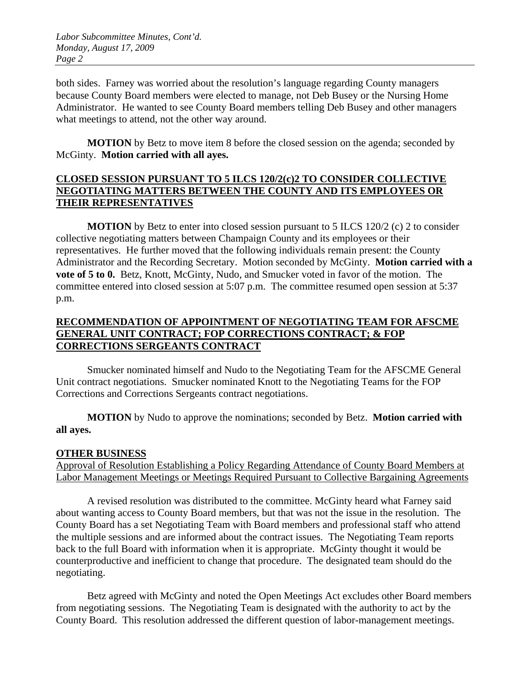both sides. Farney was worried about the resolution's language regarding County managers because County Board members were elected to manage, not Deb Busey or the Nursing Home Administrator. He wanted to see County Board members telling Deb Busey and other managers what meetings to attend, not the other way around.

**MOTION** by Betz to move item 8 before the closed session on the agenda; seconded by McGinty. **Motion carried with all ayes.** 

## **CLOSED SESSION PURSUANT TO 5 ILCS 120/2(c)2 TO CONSIDER COLLECTIVE NEGOTIATING MATTERS BETWEEN THE COUNTY AND ITS EMPLOYEES OR THEIR REPRESENTATIVES**

**MOTION** by Betz to enter into closed session pursuant to 5 ILCS 120/2 (c) 2 to consider collective negotiating matters between Champaign County and its employees or their representatives. He further moved that the following individuals remain present: the County Administrator and the Recording Secretary. Motion seconded by McGinty. **Motion carried with a vote of 5 to 0.** Betz, Knott, McGinty, Nudo, and Smucker voted in favor of the motion. The committee entered into closed session at 5:07 p.m. The committee resumed open session at 5:37 p.m.

# **RECOMMENDATION OF APPOINTMENT OF NEGOTIATING TEAM FOR AFSCME GENERAL UNIT CONTRACT; FOP CORRECTIONS CONTRACT; & FOP CORRECTIONS SERGEANTS CONTRACT**

 Smucker nominated himself and Nudo to the Negotiating Team for the AFSCME General Unit contract negotiations. Smucker nominated Knott to the Negotiating Teams for the FOP Corrections and Corrections Sergeants contract negotiations.

**MOTION** by Nudo to approve the nominations; seconded by Betz. **Motion carried with all ayes.** 

## **OTHER BUSINESS**

Approval of Resolution Establishing a Policy Regarding Attendance of County Board Members at Labor Management Meetings or Meetings Required Pursuant to Collective Bargaining Agreements

A revised resolution was distributed to the committee. McGinty heard what Farney said about wanting access to County Board members, but that was not the issue in the resolution. The County Board has a set Negotiating Team with Board members and professional staff who attend the multiple sessions and are informed about the contract issues. The Negotiating Team reports back to the full Board with information when it is appropriate. McGinty thought it would be counterproductive and inefficient to change that procedure. The designated team should do the negotiating.

Betz agreed with McGinty and noted the Open Meetings Act excludes other Board members from negotiating sessions. The Negotiating Team is designated with the authority to act by the County Board. This resolution addressed the different question of labor-management meetings.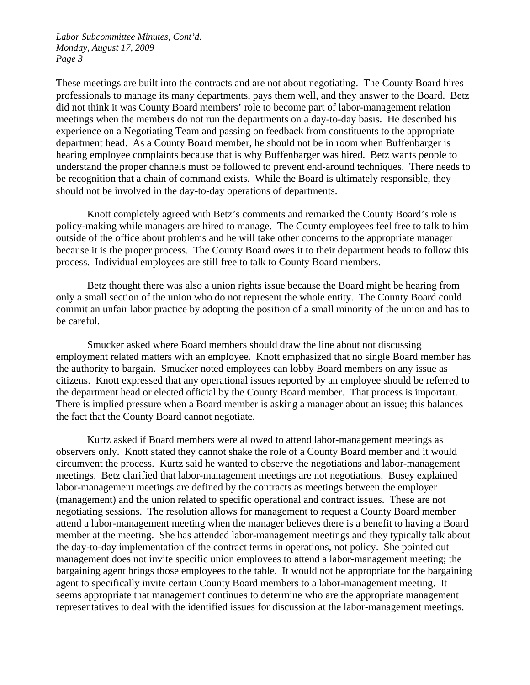These meetings are built into the contracts and are not about negotiating. The County Board hires professionals to manage its many departments, pays them well, and they answer to the Board. Betz did not think it was County Board members' role to become part of labor-management relation meetings when the members do not run the departments on a day-to-day basis. He described his experience on a Negotiating Team and passing on feedback from constituents to the appropriate department head. As a County Board member, he should not be in room when Buffenbarger is hearing employee complaints because that is why Buffenbarger was hired. Betz wants people to understand the proper channels must be followed to prevent end-around techniques. There needs to be recognition that a chain of command exists. While the Board is ultimately responsible, they should not be involved in the day-to-day operations of departments.

Knott completely agreed with Betz's comments and remarked the County Board's role is policy-making while managers are hired to manage. The County employees feel free to talk to him outside of the office about problems and he will take other concerns to the appropriate manager because it is the proper process. The County Board owes it to their department heads to follow this process. Individual employees are still free to talk to County Board members.

Betz thought there was also a union rights issue because the Board might be hearing from only a small section of the union who do not represent the whole entity. The County Board could commit an unfair labor practice by adopting the position of a small minority of the union and has to be careful.

Smucker asked where Board members should draw the line about not discussing employment related matters with an employee. Knott emphasized that no single Board member has the authority to bargain. Smucker noted employees can lobby Board members on any issue as citizens. Knott expressed that any operational issues reported by an employee should be referred to the department head or elected official by the County Board member. That process is important. There is implied pressure when a Board member is asking a manager about an issue; this balances the fact that the County Board cannot negotiate.

Kurtz asked if Board members were allowed to attend labor-management meetings as observers only. Knott stated they cannot shake the role of a County Board member and it would circumvent the process. Kurtz said he wanted to observe the negotiations and labor-management meetings. Betz clarified that labor-management meetings are not negotiations. Busey explained labor-management meetings are defined by the contracts as meetings between the employer (management) and the union related to specific operational and contract issues. These are not negotiating sessions. The resolution allows for management to request a County Board member attend a labor-management meeting when the manager believes there is a benefit to having a Board member at the meeting. She has attended labor-management meetings and they typically talk about the day-to-day implementation of the contract terms in operations, not policy. She pointed out management does not invite specific union employees to attend a labor-management meeting; the bargaining agent brings those employees to the table. It would not be appropriate for the bargaining agent to specifically invite certain County Board members to a labor-management meeting. It seems appropriate that management continues to determine who are the appropriate management representatives to deal with the identified issues for discussion at the labor-management meetings.